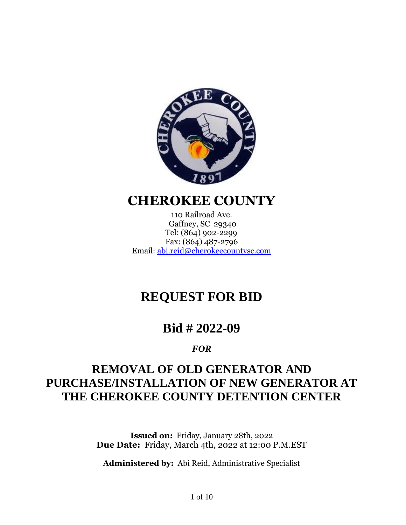

## **CHEROKEE COUNTY**

110 Railroad Ave. Gaffney, SC 29340 Tel: (864) 902-2299 Fax: (864) 487-2796 Email: [abi.reid@cherokeecountysc.com](mailto:abi.reid@cherokeecountysc.com)

# **REQUEST FOR BID**

## **Bid # 2022-09**

#### *FOR*

# **REMOVAL OF OLD GENERATOR AND PURCHASE/INSTALLATION OF NEW GENERATOR AT THE CHEROKEE COUNTY DETENTION CENTER**

**Issued on:** Friday, January 28th, 2022 **Due Date:** Friday, March 4th, 2022 at 12:00 P.M.EST

**Administered by:** Abi Reid, Administrative Specialist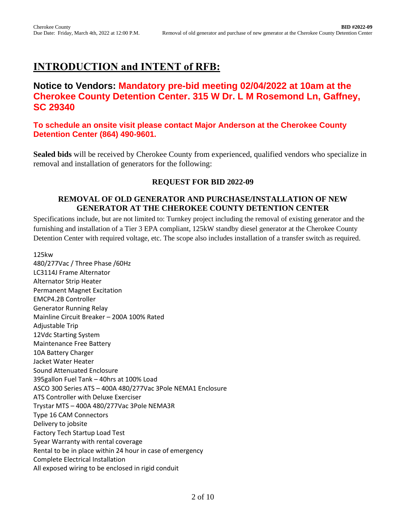## **INTRODUCTION and INTENT of RFB:**

#### **Notice to Vendors: Mandatory pre-bid meeting 02/04/2022 at 10am at the Cherokee County Detention Center. 315 W Dr. L M Rosemond Ln, Gaffney, SC 29340**

**To schedule an onsite visit please contact Major Anderson at the Cherokee County Detention Center (864) 490-9601.**

**Sealed bids** will be received by Cherokee County from experienced, qualified vendors who specialize in removal and installation of generators for the following:

#### **REQUEST FOR BID 2022-09**

#### **REMOVAL OF OLD GENERATOR AND PURCHASE/INSTALLATION OF NEW GENERATOR AT THE CHEROKEE COUNTY DETENTION CENTER**

Specifications include, but are not limited to: Turnkey project including the removal of existing generator and the furnishing and installation of a Tier 3 EPA compliant, 125kW standby diesel generator at the Cherokee County Detention Center with required voltage, etc. The scope also includes installation of a transfer switch as required.

125kw 480/277Vac / Three Phase /60Hz LC3114J Frame Alternator Alternator Strip Heater Permanent Magnet Excitation EMCP4.2B Controller Generator Running Relay Mainline Circuit Breaker – 200A 100% Rated Adjustable Trip 12Vdc Starting System Maintenance Free Battery 10A Battery Charger Jacket Water Heater Sound Attenuated Enclosure 395gallon Fuel Tank – 40hrs at 100% Load ASCO 300 Series ATS – 400A 480/277Vac 3Pole NEMA1 Enclosure ATS Controller with Deluxe Exerciser Trystar MTS – 400A 480/277Vac 3Pole NEMA3R Type 16 CAM Connectors Delivery to jobsite Factory Tech Startup Load Test 5year Warranty with rental coverage Rental to be in place within 24 hour in case of emergency Complete Electrical Installation All exposed wiring to be enclosed in rigid conduit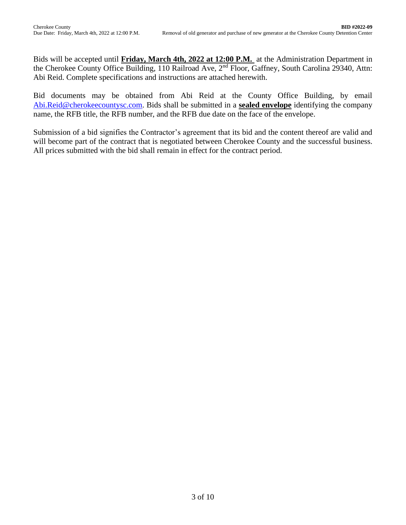Bids will be accepted until **Friday, March 4th, 2022 at 12:00 P.M.** at the Administration Department in the Cherokee County Office Building, 110 Railroad Ave, 2<sup>nd</sup> Floor, Gaffney, South Carolina 29340, Attn: Abi Reid. Complete specifications and instructions are attached herewith.

Bid documents may be obtained from Abi Reid at the County Office Building, by email Abi.Reid@cherokeecountysc.com. Bids shall be submitted in a **sealed envelope** identifying the company name, the RFB title, the RFB number, and the RFB due date on the face of the envelope.

Submission of a bid signifies the Contractor's agreement that its bid and the content thereof are valid and will become part of the contract that is negotiated between Cherokee County and the successful business. All prices submitted with the bid shall remain in effect for the contract period.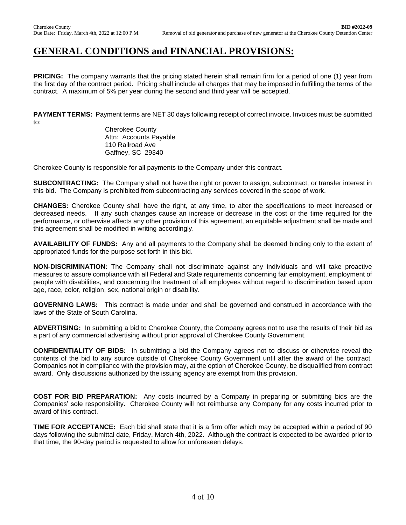#### **GENERAL CONDITIONS and FINANCIAL PROVISIONS:**

**PRICING:** The company warrants that the pricing stated herein shall remain firm for a period of one (1) year from the first day of the contract period. Pricing shall include all charges that may be imposed in fulfilling the terms of the contract. A maximum of 5% per year during the second and third year will be accepted.

**PAYMENT TERMS:** Payment terms are NET 30 days following receipt of correct invoice. Invoices must be submitted to:

Cherokee County Attn: Accounts Payable 110 Railroad Ave Gaffney, SC 29340

Cherokee County is responsible for all payments to the Company under this contract.

**SUBCONTRACTING:** The Company shall not have the right or power to assign, subcontract, or transfer interest in this bid. The Company is prohibited from subcontracting any services covered in the scope of work.

**CHANGES:** Cherokee County shall have the right, at any time, to alter the specifications to meet increased or decreased needs. If any such changes cause an increase or decrease in the cost or the time required for the performance, or otherwise affects any other provision of this agreement, an equitable adjustment shall be made and this agreement shall be modified in writing accordingly.

**AVAILABILITY OF FUNDS:** Any and all payments to the Company shall be deemed binding only to the extent of appropriated funds for the purpose set forth in this bid.

**NON-DISCRIMINATION:** The Company shall not discriminate against any individuals and will take proactive measures to assure compliance with all Federal and State requirements concerning fair employment, employment of people with disabilities, and concerning the treatment of all employees without regard to discrimination based upon age, race, color, religion, sex, national origin or disability.

**GOVERNING LAWS:** This contract is made under and shall be governed and construed in accordance with the laws of the State of South Carolina.

**ADVERTISING:** In submitting a bid to Cherokee County, the Company agrees not to use the results of their bid as a part of any commercial advertising without prior approval of Cherokee County Government.

**CONFIDENTIALITY OF BIDS:** In submitting a bid the Company agrees not to discuss or otherwise reveal the contents of the bid to any source outside of Cherokee County Government until after the award of the contract. Companies not in compliance with the provision may, at the option of Cherokee County, be disqualified from contract award. Only discussions authorized by the issuing agency are exempt from this provision.

**COST FOR BID PREPARATION:** Any costs incurred by a Company in preparing or submitting bids are the Companies' sole responsibility. Cherokee County will not reimburse any Company for any costs incurred prior to award of this contract.

**TIME FOR ACCEPTANCE:** Each bid shall state that it is a firm offer which may be accepted within a period of 90 days following the submittal date, Friday, March 4th, 2022. Although the contract is expected to be awarded prior to that time, the 90-day period is requested to allow for unforeseen delays.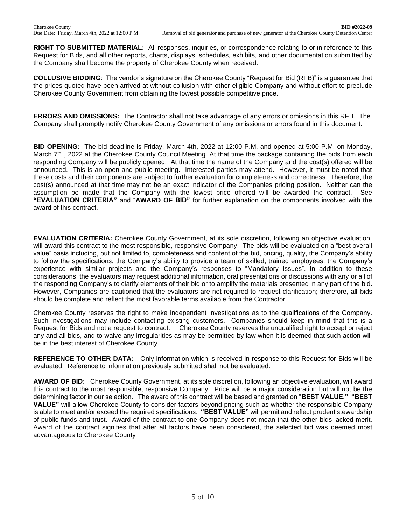**RIGHT TO SUBMITTED MATERIAL:** All responses, inquiries, or correspondence relating to or in reference to this Request for Bids, and all other reports, charts, displays, schedules, exhibits, and other documentation submitted by the Company shall become the property of Cherokee County when received.

**COLLUSIVE BIDDING**: The vendor's signature on the Cherokee County "Request for Bid (RFB)" is a guarantee that the prices quoted have been arrived at without collusion with other eligible Company and without effort to preclude Cherokee County Government from obtaining the lowest possible competitive price.

**ERRORS AND OMISSIONS:** The Contractor shall not take advantage of any errors or omissions in this RFB. The Company shall promptly notify Cherokee County Government of any omissions or errors found in this document.

**BID OPENING:** The bid deadline is Friday, March 4th, 2022 at 12:00 P.M. and opened at 5:00 P.M. on Monday, March  $7<sup>th</sup>$ , 2022 at the Cherokee County Council Meeting. At that time the package containing the bids from each responding Company will be publicly opened. At that time the name of the Company and the cost(s) offered will be announced. This is an open and public meeting. Interested parties may attend. However, it must be noted that these costs and their components are subject to further evaluation for completeness and correctness. Therefore, the cost(s) announced at that time may not be an exact indicator of the Companies pricing position. Neither can the assumption be made that the Company with the lowest price offered will be awarded the contract. See **"EVALUATION CRITERIA"** and "**AWARD OF BID"** for further explanation on the components involved with the award of this contract.

**EVALUATION CRITERIA:** Cherokee County Government, at its sole discretion, following an objective evaluation, will award this contract to the most responsible, responsive Company. The bids will be evaluated on a "best overall value" basis including, but not limited to, completeness and content of the bid, pricing, quality, the Company's ability to follow the specifications, the Company's ability to provide a team of skilled, trained employees, the Company's experience with similar projects and the Company's responses to "Mandatory Issues". In addition to these considerations, the evaluators may request additional information, oral presentations or discussions with any or all of the responding Company's to clarify elements of their bid or to amplify the materials presented in any part of the bid. However, Companies are cautioned that the evaluators are not required to request clarification; therefore, all bids should be complete and reflect the most favorable terms available from the Contractor.

Cherokee County reserves the right to make independent investigations as to the qualifications of the Company. Such investigations may include contacting existing customers. Companies should keep in mind that this is a Request for Bids and not a request to contract. Cherokee County reserves the unqualified right to accept or reject any and all bids, and to waive any irregularities as may be permitted by law when it is deemed that such action will be in the best interest of Cherokee County.

**REFERENCE TO OTHER DATA:** Only information which is received in response to this Request for Bids will be evaluated. Reference to information previously submitted shall not be evaluated.

**AWARD OF BID:** Cherokee County Government, at its sole discretion, following an objective evaluation, will award this contract to the most responsible, responsive Company. Price will be a major consideration but will not be the determining factor in our selection. The award of this contract will be based and granted on "**BEST VALUE." "BEST VALUE"** will allow Cherokee County to consider factors beyond pricing such as whether the responsible Company is able to meet and/or exceed the required specifications. **"BEST VALUE"** will permit and reflect prudent stewardship of public funds and trust. Award of the contract to one Company does not mean that the other bids lacked merit. Award of the contract signifies that after all factors have been considered, the selected bid was deemed most advantageous to Cherokee County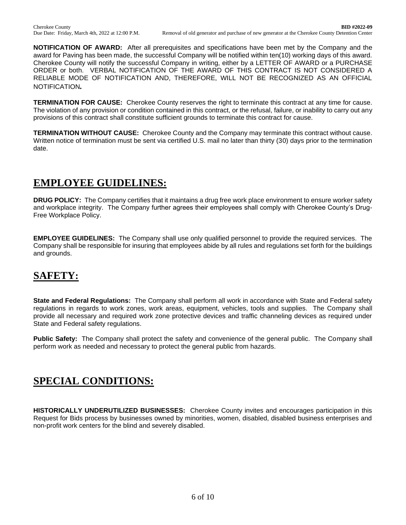**NOTIFICATION OF AWARD:** After all prerequisites and specifications have been met by the Company and the award for Paving has been made, the successful Company will be notified within ten(10) working days of this award. Cherokee County will notify the successful Company in writing, either by a LETTER OF AWARD or a PURCHASE ORDER or both. VERBAL NOTIFICATION OF THE AWARD OF THIS CONTRACT IS NOT CONSIDERED A RELIABLE MODE OF NOTIFICATION AND, THEREFORE, WILL NOT BE RECOGNIZED AS AN OFFICIAL NOTIFICATION*.*

**TERMINATION FOR CAUSE:** Cherokee County reserves the right to terminate this contract at any time for cause. The violation of any provision or condition contained in this contract, or the refusal, failure, or inability to carry out any provisions of this contract shall constitute sufficient grounds to terminate this contract for cause.

**TERMINATION WITHOUT CAUSE:** Cherokee County and the Company may terminate this contract without cause. Written notice of termination must be sent via certified U.S. mail no later than thirty (30) days prior to the termination date.

## **EMPLOYEE GUIDELINES:**

**DRUG POLICY:** The Company certifies that it maintains a drug free work place environment to ensure worker safety and workplace integrity. The Company further agrees their employees shall comply with Cherokee County's Drug-Free Workplace Policy.

**EMPLOYEE GUIDELINES:** The Company shall use only qualified personnel to provide the required services. The Company shall be responsible for insuring that employees abide by all rules and regulations set forth for the buildings and grounds.

## **SAFETY:**

**State and Federal Regulations:** The Company shall perform all work in accordance with State and Federal safety regulations in regards to work zones, work areas, equipment, vehicles, tools and supplies. The Company shall provide all necessary and required work zone protective devices and traffic channeling devices as required under State and Federal safety regulations.

**Public Safety:** The Company shall protect the safety and convenience of the general public. The Company shall perform work as needed and necessary to protect the general public from hazards.

## **SPECIAL CONDITIONS:**

**HISTORICALLY UNDERUTILIZED BUSINESSES:** Cherokee County invites and encourages participation in this Request for Bids process by businesses owned by minorities, women, disabled, disabled business enterprises and non-profit work centers for the blind and severely disabled.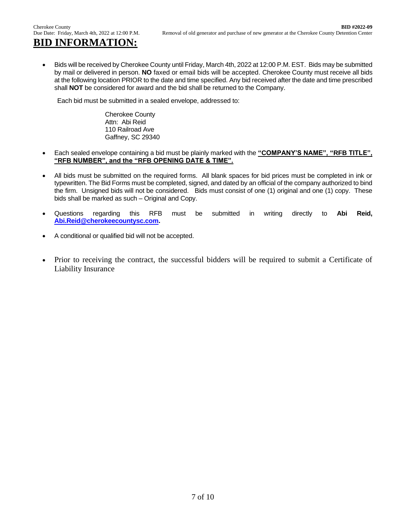# **BID INFORMATION:**

• Bids will be received by Cherokee County until Friday, March 4th, 2022 at 12:00 P.M. EST. Bids may be submitted by mail or delivered in person. **NO** faxed or email bids will be accepted. Cherokee County must receive all bids at the following location PRIOR to the date and time specified. Any bid received after the date and time prescribed shall **NOT** be considered for award and the bid shall be returned to the Company.

Each bid must be submitted in a sealed envelope, addressed to:

Cherokee County Attn: Abi Reid 110 Railroad Ave Gaffney, SC 29340

- Each sealed envelope containing a bid must be plainly marked with the **"COMPANY'S NAME", "RFB TITLE", "RFB NUMBER", and the "RFB OPENING DATE & TIME".**
- All bids must be submitted on the required forms. All blank spaces for bid prices must be completed in ink or typewritten. The Bid Forms must be completed, signed, and dated by an official of the company authorized to bind the firm. Unsigned bids will not be considered. Bids must consist of one (1) original and one (1) copy. These bids shall be marked as such – Original and Copy.
- Questions regarding this RFB must be submitted in writing directly to **Abi Reid, [Abi.Reid@cherokeecountysc.com.](mailto:Abi.Reid@cherokeecountysc.com)**
- A conditional or qualified bid will not be accepted.
- Prior to receiving the contract, the successful bidders will be required to submit a Certificate of Liability Insurance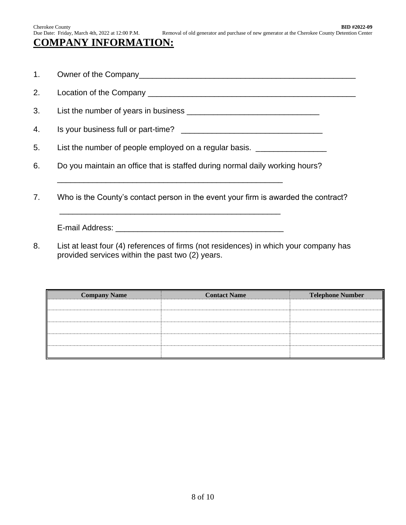## **COMPANY INFORMATION:**

- 1. Owner of the Company\_\_\_\_\_\_\_\_\_\_\_\_\_\_\_\_\_\_\_\_\_\_\_\_\_\_\_\_\_\_\_\_\_\_\_\_\_\_\_\_\_\_\_\_\_\_\_\_\_
- 2. Location of the Company \_\_\_\_\_\_\_\_\_\_\_\_\_\_\_\_\_\_\_\_\_\_\_\_\_\_\_\_\_\_\_\_\_\_\_\_\_\_\_\_\_\_\_\_\_\_\_
- 3. List the number of years in business \_\_\_\_\_\_\_\_\_\_\_\_\_\_\_\_\_\_\_\_\_\_\_\_\_\_\_\_\_\_
- 4. Is your business full or part-time? \_\_\_\_\_\_\_\_\_\_\_\_\_\_\_\_\_\_\_\_\_\_\_\_\_\_\_\_\_\_\_\_

5. List the number of people employed on a regular basis. \_\_\_\_\_\_\_\_\_\_\_\_\_\_\_\_\_\_\_\_\_\_

6. Do you maintain an office that is staffed during normal daily working hours?

\_\_\_\_\_\_\_\_\_\_\_\_\_\_\_\_\_\_\_\_\_\_\_\_\_\_\_\_\_\_\_\_\_\_\_\_\_\_\_\_\_\_\_\_\_\_\_\_\_\_\_

\_\_\_\_\_\_\_\_\_\_\_\_\_\_\_\_\_\_\_\_\_\_\_\_\_\_\_\_\_\_\_\_\_\_\_\_\_\_\_\_\_\_\_\_\_\_\_\_\_\_

7. Who is the County's contact person in the event your firm is awarded the contract?

E-mail Address: **E-mail Address:** 

8. List at least four (4) references of firms (not residences) in which your company has provided services within the past two (2) years.

| <b>Company Name</b> | <b>Contact Name</b> | <b>Telephone Number</b> |
|---------------------|---------------------|-------------------------|
|                     |                     |                         |
|                     |                     |                         |
|                     |                     |                         |
|                     |                     |                         |
|                     |                     |                         |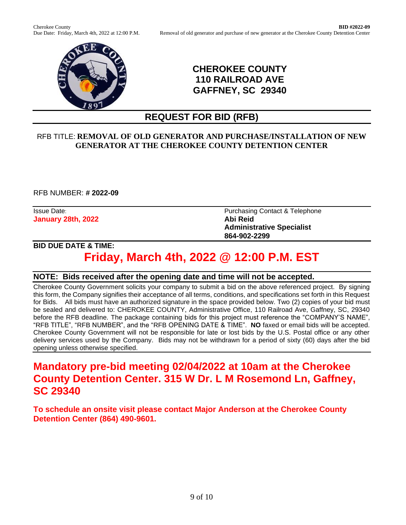

#### **CHEROKEE COUNTY 110 RAILROAD AVE GAFFNEY, SC 29340**

## **REQUEST FOR BID (RFB)**

#### RFB TITLE: **REMOVAL OF OLD GENERATOR AND PURCHASE/INSTALLATION OF NEW GENERATOR AT THE CHEROKEE COUNTY DETENTION CENTER**

RFB NUMBER: **# 2022-09**

**January 28th, 2022 Abi Reid**

Issue Date: **Purchasing Contact & Telephone Administrative Specialist 864-902-2299**

#### **BID DUE DATE & TIME:**

# **Friday, March 4th, 2022 @ 12:00 P.M. EST**

#### **NOTE: Bids received after the opening date and time will not be accepted.**

Cherokee County Government solicits your company to submit a bid on the above referenced project. By signing this form, the Company signifies their acceptance of all terms, conditions, and specifications set forth in this Request for Bids. All bids must have an authorized signature in the space provided below. Two (2) copies of your bid must be sealed and delivered to: CHEROKEE COUNTY, Administrative Office, 110 Railroad Ave, Gaffney, SC, 29340 before the RFB deadline. The package containing bids for this project must reference the "COMPANY'S NAME", "RFB TITLE", "RFB NUMBER", and the "RFB OPENING DATE & TIME". **NO** faxed or email bids will be accepted. Cherokee County Government will not be responsible for late or lost bids by the U.S. Postal office or any other delivery services used by the Company. Bids may not be withdrawn for a period of sixty (60) days after the bid opening unless otherwise specified.

## **Mandatory pre-bid meeting 02/04/2022 at 10am at the Cherokee County Detention Center. 315 W Dr. L M Rosemond Ln, Gaffney, SC 29340**

**To schedule an onsite visit please contact Major Anderson at the Cherokee County Detention Center (864) 490-9601.**